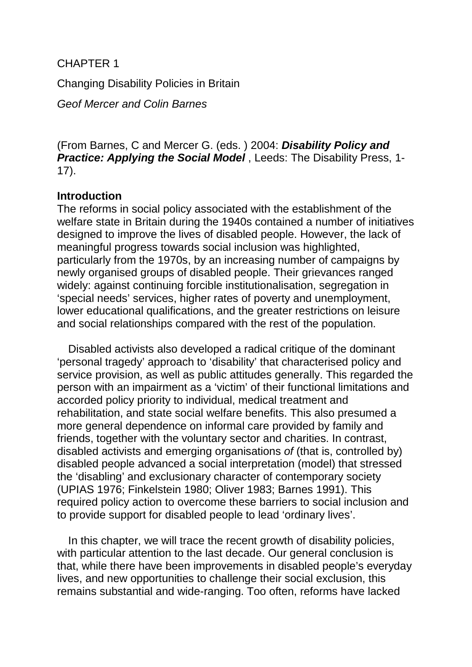CHAPTER 1

Changing Disability Policies in Britain

*Geof Mercer and Colin Barnes*

(From Barnes, C and Mercer G. (eds. ) 2004: *Disability Policy and Practice: Applying the Social Model* , Leeds: The Disability Press, 1- 17).

# **Introduction**

The reforms in social policy associated with the establishment of the welfare state in Britain during the 1940s contained a number of initiatives designed to improve the lives of disabled people. However, the lack of meaningful progress towards social inclusion was highlighted, particularly from the 1970s, by an increasing number of campaigns by newly organised groups of disabled people. Their grievances ranged widely: against continuing forcible institutionalisation, segregation in 'special needs' services, higher rates of poverty and unemployment, lower educational qualifications, and the greater restrictions on leisure and social relationships compared with the rest of the population.

Disabled activists also developed a radical critique of the dominant 'personal tragedy' approach to 'disability' that characterised policy and service provision, as well as public attitudes generally. This regarded the person with an impairment as a 'victim' of their functional limitations and accorded policy priority to individual, medical treatment and rehabilitation, and state social welfare benefits. This also presumed a more general dependence on informal care provided by family and friends, together with the voluntary sector and charities. In contrast, disabled activists and emerging organisations *of* (that is, controlled by) disabled people advanced a social interpretation (model) that stressed the 'disabling' and exclusionary character of contemporary society (UPIAS 1976; Finkelstein 1980; Oliver 1983; Barnes 1991). This required policy action to overcome these barriers to social inclusion and to provide support for disabled people to lead 'ordinary lives'.

In this chapter, we will trace the recent growth of disability policies, with particular attention to the last decade. Our general conclusion is that, while there have been improvements in disabled people's everyday lives, and new opportunities to challenge their social exclusion, this remains substantial and wide-ranging. Too often, reforms have lacked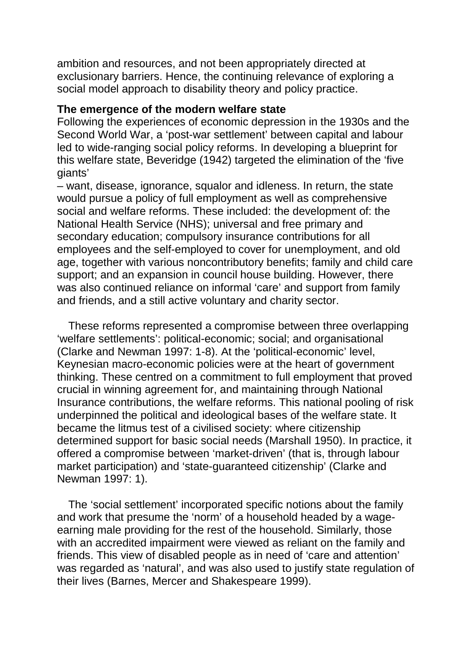ambition and resources, and not been appropriately directed at exclusionary barriers. Hence, the continuing relevance of exploring a social model approach to disability theory and policy practice.

# **The emergence of the modern welfare state**

Following the experiences of economic depression in the 1930s and the Second World War, a 'post-war settlement' between capital and labour led to wide-ranging social policy reforms. In developing a blueprint for this welfare state, Beveridge (1942) targeted the elimination of the 'five giants'

– want, disease, ignorance, squalor and idleness. In return, the state would pursue a policy of full employment as well as comprehensive social and welfare reforms. These included: the development of: the National Health Service (NHS); universal and free primary and secondary education; compulsory insurance contributions for all employees and the self-employed to cover for unemployment, and old age, together with various noncontributory benefits; family and child care support; and an expansion in council house building. However, there was also continued reliance on informal 'care' and support from family and friends, and a still active voluntary and charity sector.

These reforms represented a compromise between three overlapping 'welfare settlements': political-economic; social; and organisational (Clarke and Newman 1997: 1-8). At the 'political-economic' level, Keynesian macro-economic policies were at the heart of government thinking. These centred on a commitment to full employment that proved crucial in winning agreement for, and maintaining through National Insurance contributions, the welfare reforms. This national pooling of risk underpinned the political and ideological bases of the welfare state. It became the litmus test of a civilised society: where citizenship determined support for basic social needs (Marshall 1950). In practice, it offered a compromise between 'market-driven' (that is, through labour market participation) and 'state-guaranteed citizenship' (Clarke and Newman 1997: 1).

The 'social settlement' incorporated specific notions about the family and work that presume the 'norm' of a household headed by a wageearning male providing for the rest of the household. Similarly, those with an accredited impairment were viewed as reliant on the family and friends. This view of disabled people as in need of 'care and attention' was regarded as 'natural', and was also used to justify state regulation of their lives (Barnes, Mercer and Shakespeare 1999).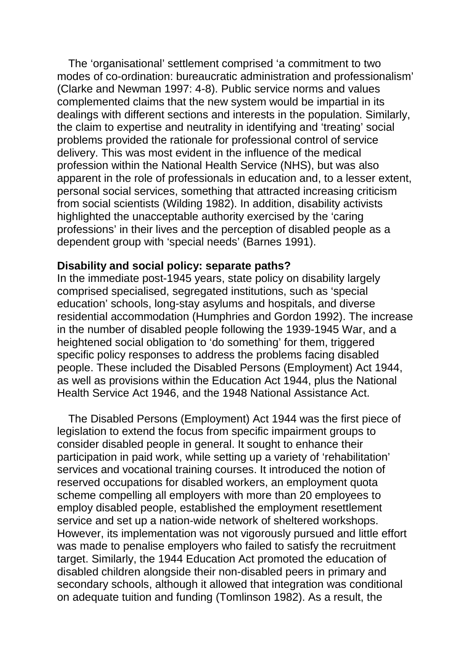The 'organisational' settlement comprised 'a commitment to two modes of co-ordination: bureaucratic administration and professionalism' (Clarke and Newman 1997: 4-8). Public service norms and values complemented claims that the new system would be impartial in its dealings with different sections and interests in the population. Similarly, the claim to expertise and neutrality in identifying and 'treating' social problems provided the rationale for professional control of service delivery. This was most evident in the influence of the medical profession within the National Health Service (NHS), but was also apparent in the role of professionals in education and, to a lesser extent, personal social services, something that attracted increasing criticism from social scientists (Wilding 1982). In addition, disability activists highlighted the unacceptable authority exercised by the 'caring professions' in their lives and the perception of disabled people as a dependent group with 'special needs' (Barnes 1991).

# **Disability and social policy: separate paths?**

In the immediate post-1945 years, state policy on disability largely comprised specialised, segregated institutions, such as 'special education' schools, long-stay asylums and hospitals, and diverse residential accommodation (Humphries and Gordon 1992). The increase in the number of disabled people following the 1939-1945 War, and a heightened social obligation to 'do something' for them, triggered specific policy responses to address the problems facing disabled people. These included the Disabled Persons (Employment) Act 1944, as well as provisions within the Education Act 1944, plus the National Health Service Act 1946, and the 1948 National Assistance Act.

The Disabled Persons (Employment) Act 1944 was the first piece of legislation to extend the focus from specific impairment groups to consider disabled people in general. It sought to enhance their participation in paid work, while setting up a variety of 'rehabilitation' services and vocational training courses. It introduced the notion of reserved occupations for disabled workers, an employment quota scheme compelling all employers with more than 20 employees to employ disabled people, established the employment resettlement service and set up a nation-wide network of sheltered workshops. However, its implementation was not vigorously pursued and little effort was made to penalise employers who failed to satisfy the recruitment target. Similarly, the 1944 Education Act promoted the education of disabled children alongside their non-disabled peers in primary and secondary schools, although it allowed that integration was conditional on adequate tuition and funding (Tomlinson 1982). As a result, the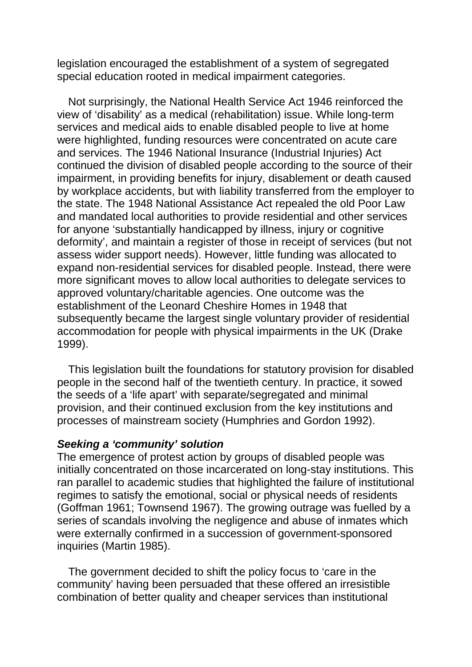legislation encouraged the establishment of a system of segregated special education rooted in medical impairment categories.

Not surprisingly, the National Health Service Act 1946 reinforced the view of 'disability' as a medical (rehabilitation) issue. While long-term services and medical aids to enable disabled people to live at home were highlighted, funding resources were concentrated on acute care and services. The 1946 National Insurance (Industrial Injuries) Act continued the division of disabled people according to the source of their impairment, in providing benefits for injury, disablement or death caused by workplace accidents, but with liability transferred from the employer to the state. The 1948 National Assistance Act repealed the old Poor Law and mandated local authorities to provide residential and other services for anyone 'substantially handicapped by illness, injury or cognitive deformity', and maintain a register of those in receipt of services (but not assess wider support needs). However, little funding was allocated to expand non-residential services for disabled people. Instead, there were more significant moves to allow local authorities to delegate services to approved voluntary/charitable agencies. One outcome was the establishment of the Leonard Cheshire Homes in 1948 that subsequently became the largest single voluntary provider of residential accommodation for people with physical impairments in the UK (Drake 1999).

This legislation built the foundations for statutory provision for disabled people in the second half of the twentieth century. In practice, it sowed the seeds of a 'life apart' with separate/segregated and minimal provision, and their continued exclusion from the key institutions and processes of mainstream society (Humphries and Gordon 1992).

#### *Seeking a 'community' solution*

The emergence of protest action by groups of disabled people was initially concentrated on those incarcerated on long-stay institutions. This ran parallel to academic studies that highlighted the failure of institutional regimes to satisfy the emotional, social or physical needs of residents (Goffman 1961; Townsend 1967). The growing outrage was fuelled by a series of scandals involving the negligence and abuse of inmates which were externally confirmed in a succession of government-sponsored inquiries (Martin 1985).

The government decided to shift the policy focus to 'care in the community' having been persuaded that these offered an irresistible combination of better quality and cheaper services than institutional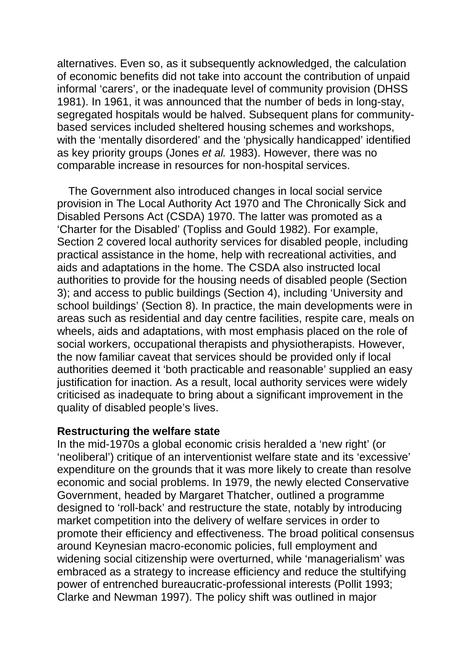alternatives. Even so, as it subsequently acknowledged, the calculation of economic benefits did not take into account the contribution of unpaid informal 'carers', or the inadequate level of community provision (DHSS 1981). In 1961, it was announced that the number of beds in long-stay, segregated hospitals would be halved. Subsequent plans for communitybased services included sheltered housing schemes and workshops, with the 'mentally disordered' and the 'physically handicapped' identified as key priority groups (Jones *et al.* 1983). However, there was no comparable increase in resources for non-hospital services.

The Government also introduced changes in local social service provision in The Local Authority Act 1970 and The Chronically Sick and Disabled Persons Act (CSDA) 1970. The latter was promoted as a 'Charter for the Disabled' (Topliss and Gould 1982). For example, Section 2 covered local authority services for disabled people, including practical assistance in the home, help with recreational activities, and aids and adaptations in the home. The CSDA also instructed local authorities to provide for the housing needs of disabled people (Section 3); and access to public buildings (Section 4), including 'University and school buildings' (Section 8). In practice, the main developments were in areas such as residential and day centre facilities, respite care, meals on wheels, aids and adaptations, with most emphasis placed on the role of social workers, occupational therapists and physiotherapists. However, the now familiar caveat that services should be provided only if local authorities deemed it 'both practicable and reasonable' supplied an easy justification for inaction. As a result, local authority services were widely criticised as inadequate to bring about a significant improvement in the quality of disabled people's lives.

#### **Restructuring the welfare state**

In the mid-1970s a global economic crisis heralded a 'new right' (or 'neoliberal') critique of an interventionist welfare state and its 'excessive' expenditure on the grounds that it was more likely to create than resolve economic and social problems. In 1979, the newly elected Conservative Government, headed by Margaret Thatcher, outlined a programme designed to 'roll-back' and restructure the state, notably by introducing market competition into the delivery of welfare services in order to promote their efficiency and effectiveness. The broad political consensus around Keynesian macro-economic policies, full employment and widening social citizenship were overturned, while 'managerialism' was embraced as a strategy to increase efficiency and reduce the stultifying power of entrenched bureaucratic-professional interests (Pollit 1993; Clarke and Newman 1997). The policy shift was outlined in major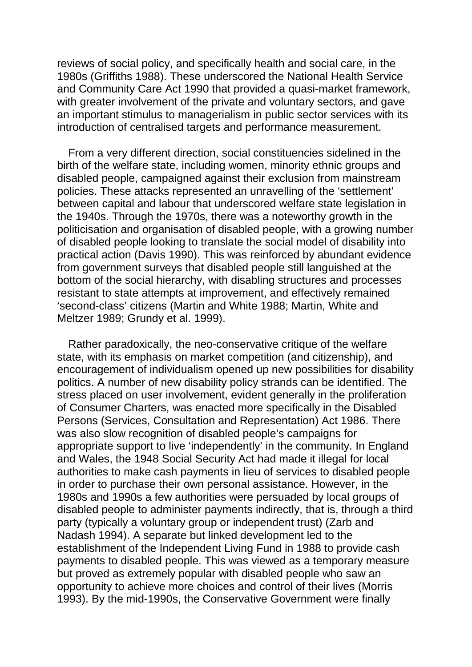reviews of social policy, and specifically health and social care, in the 1980s (Griffiths 1988). These underscored the National Health Service and Community Care Act 1990 that provided a quasi-market framework, with greater involvement of the private and voluntary sectors, and gave an important stimulus to managerialism in public sector services with its introduction of centralised targets and performance measurement.

From a very different direction, social constituencies sidelined in the birth of the welfare state, including women, minority ethnic groups and disabled people, campaigned against their exclusion from mainstream policies. These attacks represented an unravelling of the 'settlement' between capital and labour that underscored welfare state legislation in the 1940s. Through the 1970s, there was a noteworthy growth in the politicisation and organisation of disabled people, with a growing number of disabled people looking to translate the social model of disability into practical action (Davis 1990). This was reinforced by abundant evidence from government surveys that disabled people still languished at the bottom of the social hierarchy, with disabling structures and processes resistant to state attempts at improvement, and effectively remained 'second-class' citizens (Martin and White 1988; Martin, White and Meltzer 1989; Grundy et al. 1999).

Rather paradoxically, the neo-conservative critique of the welfare state, with its emphasis on market competition (and citizenship), and encouragement of individualism opened up new possibilities for disability politics. A number of new disability policy strands can be identified. The stress placed on user involvement, evident generally in the proliferation of Consumer Charters, was enacted more specifically in the Disabled Persons (Services, Consultation and Representation) Act 1986. There was also slow recognition of disabled people's campaigns for appropriate support to live 'independently' in the community. In England and Wales, the 1948 Social Security Act had made it illegal for local authorities to make cash payments in lieu of services to disabled people in order to purchase their own personal assistance. However, in the 1980s and 1990s a few authorities were persuaded by local groups of disabled people to administer payments indirectly, that is, through a third party (typically a voluntary group or independent trust) (Zarb and Nadash 1994). A separate but linked development led to the establishment of the Independent Living Fund in 1988 to provide cash payments to disabled people. This was viewed as a temporary measure but proved as extremely popular with disabled people who saw an opportunity to achieve more choices and control of their lives (Morris 1993). By the mid-1990s, the Conservative Government were finally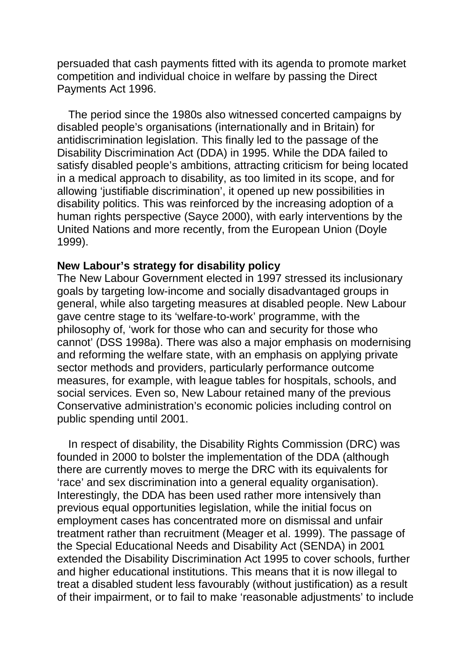persuaded that cash payments fitted with its agenda to promote market competition and individual choice in welfare by passing the Direct Payments Act 1996.

The period since the 1980s also witnessed concerted campaigns by disabled people's organisations (internationally and in Britain) for antidiscrimination legislation. This finally led to the passage of the Disability Discrimination Act (DDA) in 1995. While the DDA failed to satisfy disabled people's ambitions, attracting criticism for being located in a medical approach to disability, as too limited in its scope, and for allowing 'justifiable discrimination', it opened up new possibilities in disability politics. This was reinforced by the increasing adoption of a human rights perspective (Sayce 2000), with early interventions by the United Nations and more recently, from the European Union (Doyle 1999).

# **New Labour's strategy for disability policy**

The New Labour Government elected in 1997 stressed its inclusionary goals by targeting low-income and socially disadvantaged groups in general, while also targeting measures at disabled people. New Labour gave centre stage to its 'welfare-to-work' programme, with the philosophy of, 'work for those who can and security for those who cannot' (DSS 1998a). There was also a major emphasis on modernising and reforming the welfare state, with an emphasis on applying private sector methods and providers, particularly performance outcome measures, for example, with league tables for hospitals, schools, and social services. Even so, New Labour retained many of the previous Conservative administration's economic policies including control on public spending until 2001.

In respect of disability, the Disability Rights Commission (DRC) was founded in 2000 to bolster the implementation of the DDA (although there are currently moves to merge the DRC with its equivalents for 'race' and sex discrimination into a general equality organisation). Interestingly, the DDA has been used rather more intensively than previous equal opportunities legislation, while the initial focus on employment cases has concentrated more on dismissal and unfair treatment rather than recruitment (Meager et al. 1999). The passage of the Special Educational Needs and Disability Act (SENDA) in 2001 extended the Disability Discrimination Act 1995 to cover schools, further and higher educational institutions. This means that it is now illegal to treat a disabled student less favourably (without justification) as a result of their impairment, or to fail to make 'reasonable adjustments' to include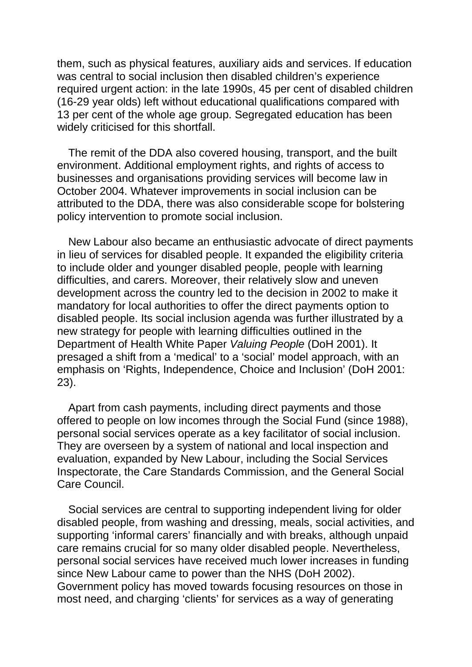them, such as physical features, auxiliary aids and services. If education was central to social inclusion then disabled children's experience required urgent action: in the late 1990s, 45 per cent of disabled children (16-29 year olds) left without educational qualifications compared with 13 per cent of the whole age group. Segregated education has been widely criticised for this shortfall.

The remit of the DDA also covered housing, transport, and the built environment. Additional employment rights, and rights of access to businesses and organisations providing services will become law in October 2004. Whatever improvements in social inclusion can be attributed to the DDA, there was also considerable scope for bolstering policy intervention to promote social inclusion.

New Labour also became an enthusiastic advocate of direct payments in lieu of services for disabled people. It expanded the eligibility criteria to include older and younger disabled people, people with learning difficulties, and carers. Moreover, their relatively slow and uneven development across the country led to the decision in 2002 to make it mandatory for local authorities to offer the direct payments option to disabled people. Its social inclusion agenda was further illustrated by a new strategy for people with learning difficulties outlined in the Department of Health White Paper *Valuing People* (DoH 2001). It presaged a shift from a 'medical' to a 'social' model approach, with an emphasis on 'Rights, Independence, Choice and Inclusion' (DoH 2001: 23).

Apart from cash payments, including direct payments and those offered to people on low incomes through the Social Fund (since 1988), personal social services operate as a key facilitator of social inclusion. They are overseen by a system of national and local inspection and evaluation, expanded by New Labour, including the Social Services Inspectorate, the Care Standards Commission, and the General Social Care Council.

Social services are central to supporting independent living for older disabled people, from washing and dressing, meals, social activities, and supporting 'informal carers' financially and with breaks, although unpaid care remains crucial for so many older disabled people. Nevertheless, personal social services have received much lower increases in funding since New Labour came to power than the NHS (DoH 2002). Government policy has moved towards focusing resources on those in most need, and charging 'clients' for services as a way of generating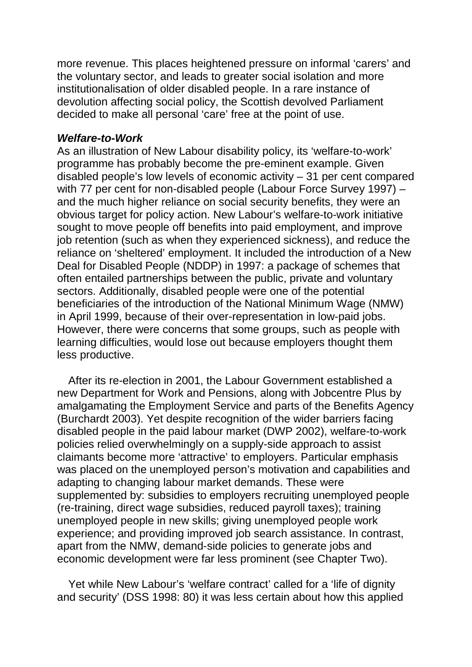more revenue. This places heightened pressure on informal 'carers' and the voluntary sector, and leads to greater social isolation and more institutionalisation of older disabled people. In a rare instance of devolution affecting social policy, the Scottish devolved Parliament decided to make all personal 'care' free at the point of use.

## *Welfare-to-Work*

As an illustration of New Labour disability policy, its 'welfare-to-work' programme has probably become the pre-eminent example. Given disabled people's low levels of economic activity – 31 per cent compared with 77 per cent for non-disabled people (Labour Force Survey 1997) – and the much higher reliance on social security benefits, they were an obvious target for policy action. New Labour's welfare-to-work initiative sought to move people off benefits into paid employment, and improve job retention (such as when they experienced sickness), and reduce the reliance on 'sheltered' employment. It included the introduction of a New Deal for Disabled People (NDDP) in 1997: a package of schemes that often entailed partnerships between the public, private and voluntary sectors. Additionally, disabled people were one of the potential beneficiaries of the introduction of the National Minimum Wage (NMW) in April 1999, because of their over-representation in low-paid jobs. However, there were concerns that some groups, such as people with learning difficulties, would lose out because employers thought them less productive.

After its re-election in 2001, the Labour Government established a new Department for Work and Pensions, along with Jobcentre Plus by amalgamating the Employment Service and parts of the Benefits Agency (Burchardt 2003). Yet despite recognition of the wider barriers facing disabled people in the paid labour market (DWP 2002), welfare-to-work policies relied overwhelmingly on a supply-side approach to assist claimants become more 'attractive' to employers. Particular emphasis was placed on the unemployed person's motivation and capabilities and adapting to changing labour market demands. These were supplemented by: subsidies to employers recruiting unemployed people (re-training, direct wage subsidies, reduced payroll taxes); training unemployed people in new skills; giving unemployed people work experience; and providing improved job search assistance. In contrast, apart from the NMW, demand-side policies to generate jobs and economic development were far less prominent (see Chapter Two).

Yet while New Labour's 'welfare contract' called for a 'life of dignity' and security' (DSS 1998: 80) it was less certain about how this applied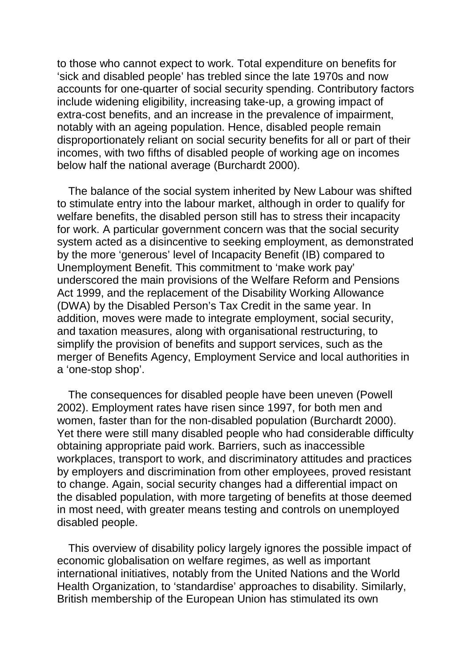to those who cannot expect to work. Total expenditure on benefits for 'sick and disabled people' has trebled since the late 1970s and now accounts for one-quarter of social security spending. Contributory factors include widening eligibility, increasing take-up, a growing impact of extra-cost benefits, and an increase in the prevalence of impairment, notably with an ageing population. Hence, disabled people remain disproportionately reliant on social security benefits for all or part of their incomes, with two fifths of disabled people of working age on incomes below half the national average (Burchardt 2000).

The balance of the social system inherited by New Labour was shifted to stimulate entry into the labour market, although in order to qualify for welfare benefits, the disabled person still has to stress their incapacity for work. A particular government concern was that the social security system acted as a disincentive to seeking employment, as demonstrated by the more 'generous' level of Incapacity Benefit (IB) compared to Unemployment Benefit. This commitment to 'make work pay' underscored the main provisions of the Welfare Reform and Pensions Act 1999, and the replacement of the Disability Working Allowance (DWA) by the Disabled Person's Tax Credit in the same year. In addition, moves were made to integrate employment, social security, and taxation measures, along with organisational restructuring, to simplify the provision of benefits and support services, such as the merger of Benefits Agency, Employment Service and local authorities in a 'one-stop shop'.

The consequences for disabled people have been uneven (Powell 2002). Employment rates have risen since 1997, for both men and women, faster than for the non-disabled population (Burchardt 2000). Yet there were still many disabled people who had considerable difficulty obtaining appropriate paid work. Barriers, such as inaccessible workplaces, transport to work, and discriminatory attitudes and practices by employers and discrimination from other employees, proved resistant to change. Again, social security changes had a differential impact on the disabled population, with more targeting of benefits at those deemed in most need, with greater means testing and controls on unemployed disabled people.

This overview of disability policy largely ignores the possible impact of economic globalisation on welfare regimes, as well as important international initiatives, notably from the United Nations and the World Health Organization, to 'standardise' approaches to disability. Similarly, British membership of the European Union has stimulated its own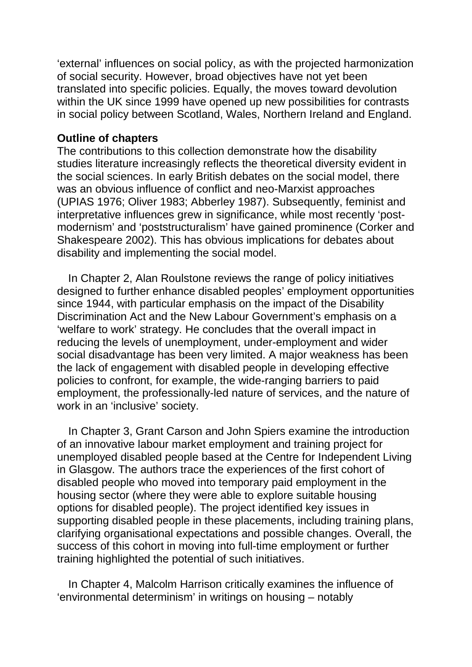'external' influences on social policy, as with the projected harmonization of social security. However, broad objectives have not yet been translated into specific policies. Equally, the moves toward devolution within the UK since 1999 have opened up new possibilities for contrasts in social policy between Scotland, Wales, Northern Ireland and England.

# **Outline of chapters**

The contributions to this collection demonstrate how the disability studies literature increasingly reflects the theoretical diversity evident in the social sciences. In early British debates on the social model, there was an obvious influence of conflict and neo-Marxist approaches (UPIAS 1976; Oliver 1983; Abberley 1987). Subsequently, feminist and interpretative influences grew in significance, while most recently 'postmodernism' and 'poststructuralism' have gained prominence (Corker and Shakespeare 2002). This has obvious implications for debates about disability and implementing the social model.

In Chapter 2, Alan Roulstone reviews the range of policy initiatives designed to further enhance disabled peoples' employment opportunities since 1944, with particular emphasis on the impact of the Disability Discrimination Act and the New Labour Government's emphasis on a 'welfare to work' strategy. He concludes that the overall impact in reducing the levels of unemployment, under-employment and wider social disadvantage has been very limited. A major weakness has been the lack of engagement with disabled people in developing effective policies to confront, for example, the wide-ranging barriers to paid employment, the professionally-led nature of services, and the nature of work in an 'inclusive' society.

In Chapter 3, Grant Carson and John Spiers examine the introduction of an innovative labour market employment and training project for unemployed disabled people based at the Centre for Independent Living in Glasgow. The authors trace the experiences of the first cohort of disabled people who moved into temporary paid employment in the housing sector (where they were able to explore suitable housing options for disabled people). The project identified key issues in supporting disabled people in these placements, including training plans, clarifying organisational expectations and possible changes. Overall, the success of this cohort in moving into full-time employment or further training highlighted the potential of such initiatives.

In Chapter 4, Malcolm Harrison critically examines the influence of 'environmental determinism' in writings on housing – notably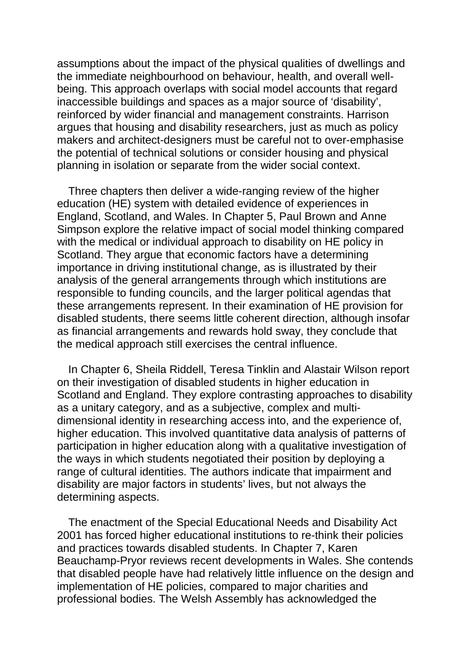assumptions about the impact of the physical qualities of dwellings and the immediate neighbourhood on behaviour, health, and overall wellbeing. This approach overlaps with social model accounts that regard inaccessible buildings and spaces as a major source of 'disability', reinforced by wider financial and management constraints. Harrison argues that housing and disability researchers, just as much as policy makers and architect-designers must be careful not to over-emphasise the potential of technical solutions or consider housing and physical planning in isolation or separate from the wider social context.

Three chapters then deliver a wide-ranging review of the higher education (HE) system with detailed evidence of experiences in England, Scotland, and Wales. In Chapter 5, Paul Brown and Anne Simpson explore the relative impact of social model thinking compared with the medical or individual approach to disability on HE policy in Scotland. They argue that economic factors have a determining importance in driving institutional change, as is illustrated by their analysis of the general arrangements through which institutions are responsible to funding councils, and the larger political agendas that these arrangements represent. In their examination of HE provision for disabled students, there seems little coherent direction, although insofar as financial arrangements and rewards hold sway, they conclude that the medical approach still exercises the central influence.

In Chapter 6, Sheila Riddell, Teresa Tinklin and Alastair Wilson report on their investigation of disabled students in higher education in Scotland and England. They explore contrasting approaches to disability as a unitary category, and as a subjective, complex and multidimensional identity in researching access into, and the experience of, higher education. This involved quantitative data analysis of patterns of participation in higher education along with a qualitative investigation of the ways in which students negotiated their position by deploying a range of cultural identities. The authors indicate that impairment and disability are major factors in students' lives, but not always the determining aspects.

The enactment of the Special Educational Needs and Disability Act 2001 has forced higher educational institutions to re-think their policies and practices towards disabled students. In Chapter 7, Karen Beauchamp-Pryor reviews recent developments in Wales. She contends that disabled people have had relatively little influence on the design and implementation of HE policies, compared to major charities and professional bodies. The Welsh Assembly has acknowledged the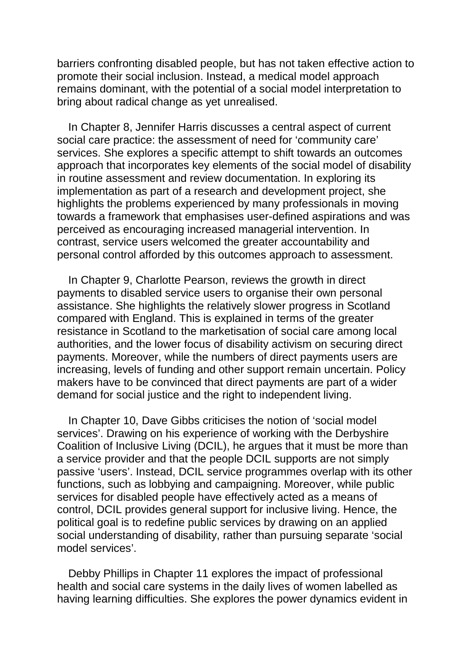barriers confronting disabled people, but has not taken effective action to promote their social inclusion. Instead, a medical model approach remains dominant, with the potential of a social model interpretation to bring about radical change as yet unrealised.

In Chapter 8, Jennifer Harris discusses a central aspect of current social care practice: the assessment of need for 'community care' services. She explores a specific attempt to shift towards an outcomes approach that incorporates key elements of the social model of disability in routine assessment and review documentation. In exploring its implementation as part of a research and development project, she highlights the problems experienced by many professionals in moving towards a framework that emphasises user-defined aspirations and was perceived as encouraging increased managerial intervention. In contrast, service users welcomed the greater accountability and personal control afforded by this outcomes approach to assessment.

In Chapter 9, Charlotte Pearson, reviews the growth in direct payments to disabled service users to organise their own personal assistance. She highlights the relatively slower progress in Scotland compared with England. This is explained in terms of the greater resistance in Scotland to the marketisation of social care among local authorities, and the lower focus of disability activism on securing direct payments. Moreover, while the numbers of direct payments users are increasing, levels of funding and other support remain uncertain. Policy makers have to be convinced that direct payments are part of a wider demand for social justice and the right to independent living.

In Chapter 10, Dave Gibbs criticises the notion of 'social model services'. Drawing on his experience of working with the Derbyshire Coalition of Inclusive Living (DCIL), he argues that it must be more than a service provider and that the people DCIL supports are not simply passive 'users'. Instead, DCIL service programmes overlap with its other functions, such as lobbying and campaigning. Moreover, while public services for disabled people have effectively acted as a means of control, DCIL provides general support for inclusive living. Hence, the political goal is to redefine public services by drawing on an applied social understanding of disability, rather than pursuing separate 'social model services'.

Debby Phillips in Chapter 11 explores the impact of professional health and social care systems in the daily lives of women labelled as having learning difficulties. She explores the power dynamics evident in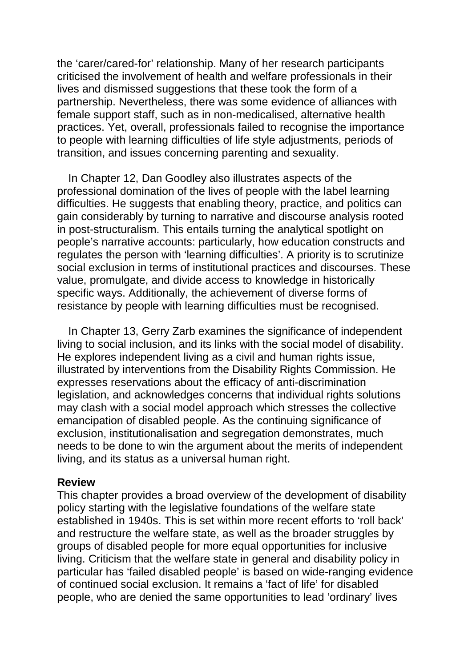the 'carer/cared-for' relationship. Many of her research participants criticised the involvement of health and welfare professionals in their lives and dismissed suggestions that these took the form of a partnership. Nevertheless, there was some evidence of alliances with female support staff, such as in non-medicalised, alternative health practices. Yet, overall, professionals failed to recognise the importance to people with learning difficulties of life style adjustments, periods of transition, and issues concerning parenting and sexuality.

In Chapter 12, Dan Goodley also illustrates aspects of the professional domination of the lives of people with the label learning difficulties. He suggests that enabling theory, practice, and politics can gain considerably by turning to narrative and discourse analysis rooted in post-structuralism. This entails turning the analytical spotlight on people's narrative accounts: particularly, how education constructs and regulates the person with 'learning difficulties'. A priority is to scrutinize social exclusion in terms of institutional practices and discourses. These value, promulgate, and divide access to knowledge in historically specific ways. Additionally, the achievement of diverse forms of resistance by people with learning difficulties must be recognised.

In Chapter 13, Gerry Zarb examines the significance of independent living to social inclusion, and its links with the social model of disability. He explores independent living as a civil and human rights issue, illustrated by interventions from the Disability Rights Commission. He expresses reservations about the efficacy of anti-discrimination legislation, and acknowledges concerns that individual rights solutions may clash with a social model approach which stresses the collective emancipation of disabled people. As the continuing significance of exclusion, institutionalisation and segregation demonstrates, much needs to be done to win the argument about the merits of independent living, and its status as a universal human right.

#### **Review**

This chapter provides a broad overview of the development of disability policy starting with the legislative foundations of the welfare state established in 1940s. This is set within more recent efforts to 'roll back' and restructure the welfare state, as well as the broader struggles by groups of disabled people for more equal opportunities for inclusive living. Criticism that the welfare state in general and disability policy in particular has 'failed disabled people' is based on wide-ranging evidence of continued social exclusion. It remains a 'fact of life' for disabled people, who are denied the same opportunities to lead 'ordinary' lives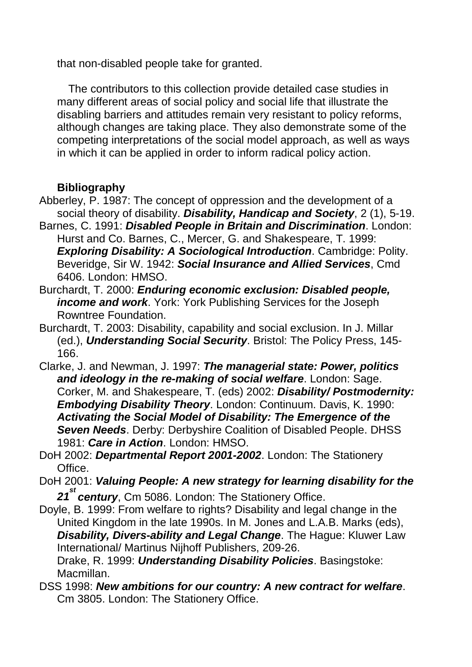that non-disabled people take for granted.

The contributors to this collection provide detailed case studies in many different areas of social policy and social life that illustrate the disabling barriers and attitudes remain very resistant to policy reforms, although changes are taking place. They also demonstrate some of the competing interpretations of the social model approach, as well as ways in which it can be applied in order to inform radical policy action.

# **Bibliography**

- Abberley, P. 1987: The concept of oppression and the development of a social theory of disability. *Disability, Handicap and Society*, 2 (1), 5-19.
- Barnes, C. 1991: *Disabled People in Britain and Discrimination*. London: Hurst and Co. Barnes, C., Mercer, G. and Shakespeare, T. 1999: *Exploring Disability: A Sociological Introduction*. Cambridge: Polity. Beveridge, Sir W. 1942: *Social Insurance and Allied Services*, Cmd 6406. London: HMSO.
- Burchardt, T. 2000: *Enduring economic exclusion: Disabled people, income and work*. York: York Publishing Services for the Joseph Rowntree Foundation.
- Burchardt, T. 2003: Disability, capability and social exclusion. In J. Millar (ed.), *Understanding Social Security*. Bristol: The Policy Press, 145- 166.
- Clarke, J. and Newman, J. 1997: *The managerial state: Power, politics and ideology in the re-making of social welfare*. London: Sage. Corker, M. and Shakespeare, T. (eds) 2002: *Disability/ Postmodernity: Embodying Disability Theory*. London: Continuum. Davis, K. 1990: *Activating the Social Model of Disability: The Emergence of the*  **Seven Needs.** Derby: Derbyshire Coalition of Disabled People. DHSS 1981: *Care in Action*. London: HMSO.
- DoH 2002: *Departmental Report 2001-2002*. London: The Stationery Office.
- DoH 2001: *Valuing People: A new strategy for learning disability for the*  21<sup>st</sup> century, Cm 5086. London: The Stationery Office.
- Doyle, B. 1999: From welfare to rights? Disability and legal change in the United Kingdom in the late 1990s. In M. Jones and L.A.B. Marks (eds), *Disability, Divers-ability and Legal Change*. The Hague: Kluwer Law International/ Martinus Nijhoff Publishers, 209-26. Drake, R. 1999: *Understanding Disability Policies*. Basingstoke:

Macmillan.

DSS 1998: *New ambitions for our country: A new contract for welfare*. Cm 3805. London: The Stationery Office.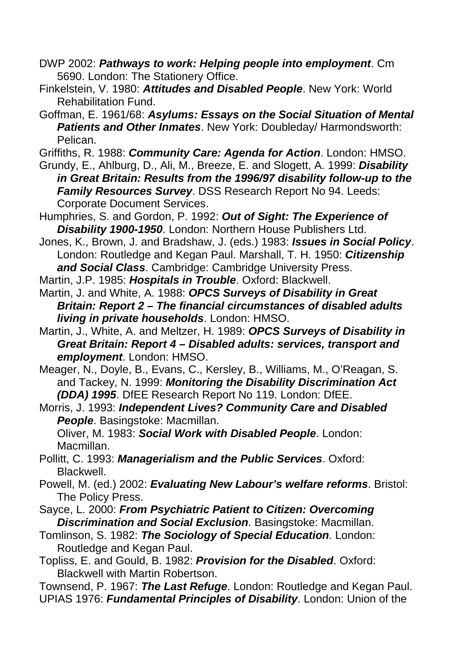- DWP 2002: *Pathways to work: Helping people into employment*. Cm 5690. London: The Stationery Office.
- Finkelstein, V. 1980: *Attitudes and Disabled People*. New York: World Rehabilitation Fund.
- Goffman, E. 1961/68: *Asylums: Essays on the Social Situation of Mental Patients and Other Inmates*. New York: Doubleday/ Harmondsworth: Pelican.
- Griffiths, R. 1988: *Community Care: Agenda for Action*. London: HMSO.
- Grundy, E., Ahlburg, D., Ali, M., Breeze, E. and Slogett, A. 1999: *Disability in Great Britain: Results from the 1996/97 disability follow-up to the Family Resources Survey*. DSS Research Report No 94. Leeds: Corporate Document Services.
- Humphries, S. and Gordon, P. 1992: *Out of Sight: The Experience of Disability 1900-1950*. London: Northern House Publishers Ltd.
- Jones, K., Brown, J. and Bradshaw, J. (eds.) 1983: *Issues in Social Policy*. London: Routledge and Kegan Paul. Marshall, T. H. 1950: *Citizenship and Social Class*. Cambridge: Cambridge University Press.
- Martin, J.P. 1985: *Hospitals in Trouble*. Oxford: Blackwell.
- Martin, J. and White, A. 1988: *OPCS Surveys of Disability in Great Britain: Report 2 – The financial circumstances of disabled adults living in private households*. London: HMSO.
- Martin, J., White, A. and Meltzer, H. 1989: *OPCS Surveys of Disability in Great Britain: Report 4 – Disabled adults: services, transport and employment*. London: HMSO.
- Meager, N., Doyle, B., Evans, C., Kersley, B., Williams, M., O'Reagan, S. and Tackey, N. 1999: *Monitoring the Disability Discrimination Act (DDA) 1995*. DfEE Research Report No 119. London: DfEE.
- Morris, J. 1993: *Independent Lives? Community Care and Disabled People*. Basingstoke: Macmillan.
	- Oliver, M. 1983: *Social Work with Disabled People*. London: Macmillan.
- Pollitt, C. 1993: *Managerialism and the Public Services*. Oxford: Blackwell.
- Powell, M. (ed.) 2002: *Evaluating New Labour's welfare reforms*. Bristol: The Policy Press.
- Sayce, L. 2000: *From Psychiatric Patient to Citizen: Overcoming Discrimination and Social Exclusion*. Basingstoke: Macmillan.
- Tomlinson, S. 1982: *The Sociology of Special Education*. London: Routledge and Kegan Paul.
- Topliss, E. and Gould, B. 1982: *Provision for the Disabled*. Oxford: Blackwell with Martin Robertson.
- Townsend, P. 1967: *The Last Refuge*. London: Routledge and Kegan Paul. UPIAS 1976: *Fundamental Principles of Disability*. London: Union of the